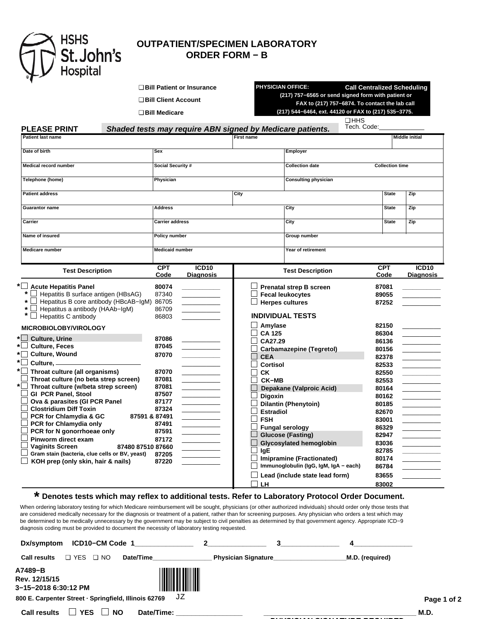

## **OUTPATIENT/SPECIMEN LABORATORY ORDER FORM − B**

|                                                                                                                                                                                                                                                                                                                                                                                                                                                                                                                                                                                                                 | □ Bill Patient or Insurance<br>□ Bill Client Account<br>$\Box$ Bill Medicare                                                                                                              | <b>PHYSICIAN OFFICE:</b>                                                                                                                                                                                                                                                                                                          | <b>Call Centralized Scheduling</b><br>(217) 757-6565 or send signed form with patient or<br>FAX to (217) 757-6874. To contact the lab call<br>(217) 544-6464, ext. 44120 or FAX to (217) 535-3775. |                          |  |
|-----------------------------------------------------------------------------------------------------------------------------------------------------------------------------------------------------------------------------------------------------------------------------------------------------------------------------------------------------------------------------------------------------------------------------------------------------------------------------------------------------------------------------------------------------------------------------------------------------------------|-------------------------------------------------------------------------------------------------------------------------------------------------------------------------------------------|-----------------------------------------------------------------------------------------------------------------------------------------------------------------------------------------------------------------------------------------------------------------------------------------------------------------------------------|----------------------------------------------------------------------------------------------------------------------------------------------------------------------------------------------------|--------------------------|--|
| <b>PLEASE PRINT</b>                                                                                                                                                                                                                                                                                                                                                                                                                                                                                                                                                                                             |                                                                                                                                                                                           | Shaded tests may require ABN signed by Medicare patients.                                                                                                                                                                                                                                                                         | $\square$ HHS<br>Tech. Code:                                                                                                                                                                       |                          |  |
| <b>Patient last name</b>                                                                                                                                                                                                                                                                                                                                                                                                                                                                                                                                                                                        |                                                                                                                                                                                           | <b>First name</b>                                                                                                                                                                                                                                                                                                                 |                                                                                                                                                                                                    | <b>Middle initial</b>    |  |
| Date of birth                                                                                                                                                                                                                                                                                                                                                                                                                                                                                                                                                                                                   | Sex                                                                                                                                                                                       | Employer                                                                                                                                                                                                                                                                                                                          |                                                                                                                                                                                                    |                          |  |
| Medical record number                                                                                                                                                                                                                                                                                                                                                                                                                                                                                                                                                                                           | Social Security #                                                                                                                                                                         | <b>Collection date</b>                                                                                                                                                                                                                                                                                                            | <b>Collection time</b>                                                                                                                                                                             |                          |  |
| Telephone (home)                                                                                                                                                                                                                                                                                                                                                                                                                                                                                                                                                                                                | Physician                                                                                                                                                                                 | Consulting physician                                                                                                                                                                                                                                                                                                              |                                                                                                                                                                                                    |                          |  |
| <b>Patient address</b>                                                                                                                                                                                                                                                                                                                                                                                                                                                                                                                                                                                          |                                                                                                                                                                                           | City                                                                                                                                                                                                                                                                                                                              | <b>State</b>                                                                                                                                                                                       | Zip                      |  |
| <b>Guarantor name</b>                                                                                                                                                                                                                                                                                                                                                                                                                                                                                                                                                                                           | <b>Address</b>                                                                                                                                                                            | City                                                                                                                                                                                                                                                                                                                              | <b>State</b>                                                                                                                                                                                       | Zip                      |  |
| Carrier                                                                                                                                                                                                                                                                                                                                                                                                                                                                                                                                                                                                         | <b>Carrier address</b>                                                                                                                                                                    | City                                                                                                                                                                                                                                                                                                                              | <b>State</b>                                                                                                                                                                                       | Zip                      |  |
| Name of insured                                                                                                                                                                                                                                                                                                                                                                                                                                                                                                                                                                                                 | <b>Policy number</b>                                                                                                                                                                      | Group number                                                                                                                                                                                                                                                                                                                      |                                                                                                                                                                                                    |                          |  |
| Medicare number                                                                                                                                                                                                                                                                                                                                                                                                                                                                                                                                                                                                 | <b>Medicaid number</b>                                                                                                                                                                    | Year of retirement                                                                                                                                                                                                                                                                                                                |                                                                                                                                                                                                    |                          |  |
| <b>Test Description</b>                                                                                                                                                                                                                                                                                                                                                                                                                                                                                                                                                                                         | <b>CPT</b><br>ICD <sub>10</sub><br>Code<br>Diagnosis                                                                                                                                      | <b>Test Description</b>                                                                                                                                                                                                                                                                                                           | <b>CPT</b><br>Code                                                                                                                                                                                 | ICD10<br>Diagnosis       |  |
| *<br>Hepatitis B surface antigen (HBsAG)<br>Hepatitus B core antibody (HBcAB-IgM)<br>$\star$<br>Hepatitus a antibody (HAAb-IgM)<br>$\star$<br>Hepatitis C antibody<br><b>MICROBIOLOBY/VIROLOGY</b><br>$\Box$<br><b>Culture, Urine</b><br>∗∣ ∣<br><b>Culture, Feces</b><br>*⊟<br><b>Culture, Wound</b><br>*□<br>Culture, $-$<br>$^{\star}\Box$ Throat culture (all organisms)<br>Throat culture (no beta strep screen)<br>$\star$  <br>Throat culture (w/beta strep screen)<br><b>GI PCR Panel, Stool</b><br>Ova & parasites (GI PCR Panel<br><b>Clostridium Diff Toxin</b><br><b>PCR for Chlamydia &amp; GC</b> | 87340<br>86705<br>86709<br>86803<br>87086<br>87045<br>87070<br>87070<br>87081<br><u> Louis Communication de la propriet</u><br>87081<br>87507<br>87177<br>87324<br>87591 & 87491<br>87491 | <b>Fecal leukocytes</b><br><b>Herpes cultures</b><br><b>INDIVIDUAL TESTS</b><br>Amylase<br><b>CA 125</b><br>CA27.29<br><b>Carbamazepine (Tegretol)</b><br><b>CEA</b><br>Cortisol<br>СK<br><b>CK-MB</b><br>Depakane (Valproic Acid)<br>Digoxin<br>Dilantin (Phenytoin)<br><b>Estradiol</b><br><b>FSH</b><br>$\Box$ Fungal serology | 89055<br>87252<br>82150<br>86304<br>86136<br>80156<br>82378<br>82533<br>82550<br>82553<br>80164<br>80162<br>80185<br>82670<br>83001<br>86329                                                       | $\overline{\phantom{a}}$ |  |

## **\* Denotes tests which may reflex to additional tests. Refer to Laboratory Protocol Order Document.**

When ordering laboratory testing for which Medicare reimbursement will be sought, physicians (or other authorized individuals) should order only those tests that are considered medically necessary for the diagnosis or treatment of a patient, rather than for screening purposes. Any physician who orders a test which may be determined to be medically unnecessary by the government may be subject to civil penalties as determined by that government agency. Appropriate ICD−9 diagnosis coding must be provided to document the necessity of laboratory testing requested.

| Dx/symptom                                            | ICD10-CM Code 1            |            | $\sim$              |                 |             |
|-------------------------------------------------------|----------------------------|------------|---------------------|-----------------|-------------|
| <b>D</b> YES<br><b>Call results</b>                   | Date/Time<br>NO.<br>$\Box$ |            | Physician Signature | M.D. (required) |             |
| A7489-B<br>Rev. 12/15/15<br>3-15-2018 6:30:12 PM      |                            |            |                     |                 |             |
| 800 E. Carpenter Street - Springfield, Illinois 62769 |                            | JZ         |                     |                 | Page 1 of 2 |
| <b>Call results</b>                                   | <b>YES</b><br><b>NO</b>    | Date/Time: |                     |                 | M.D.        |
|                                                       |                            |            |                     |                 |             |